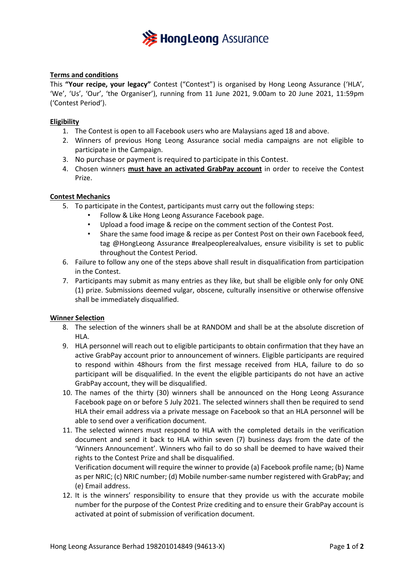

## **Terms and conditions**

This **"Your recipe, your legacy"** Contest ("Contest") is organised by Hong Leong Assurance ('HLA', 'We', 'Us', 'Our', 'the Organiser'), running from 11 June 2021, 9.00am to 20 June 2021, 11:59pm ('Contest Period').

## **Eligibility**

- 1. The Contest is open to all Facebook users who are Malaysians aged 18 and above.
- 2. Winners of previous Hong Leong Assurance social media campaigns are not eligible to participate in the Campaign.
- 3. No purchase or payment is required to participate in this Contest.
- 4. Chosen winners **must have an activated GrabPay account** in order to receive the Contest Prize.

## **Contest Mechanics**

- 5. To participate in the Contest, participants must carry out the following steps:
	- Follow & Like Hong Leong Assurance Facebook page.
	- Upload a food image & recipe on the comment section of the Contest Post.
	- Share the same food image & recipe as per Contest Post on their own Facebook feed, tag @HongLeong Assurance #realpeoplerealvalues, ensure visibility is set to public throughout the Contest Period.
- 6. Failure to follow any one of the steps above shall result in disqualification from participation in the Contest.
- 7. Participants may submit as many entries as they like, but shall be eligible only for only ONE (1) prize. Submissions deemed vulgar, obscene, culturally insensitive or otherwise offensive shall be immediately disqualified.

## **Winner Selection**

- 8. The selection of the winners shall be at RANDOM and shall be at the absolute discretion of HLA.
- 9. HLA personnel will reach out to eligible participants to obtain confirmation that they have an active GrabPay account prior to announcement of winners. Eligible participants are required to respond within 48hours from the first message received from HLA, failure to do so participant will be disqualified. In the event the eligible participants do not have an active GrabPay account, they will be disqualified.
- 10. The names of the thirty (30) winners shall be announced on the Hong Leong Assurance Facebook page on or before 5 July 2021. The selected winners shall then be required to send HLA their email address via a private message on Facebook so that an HLA personnel will be able to send over a verification document.
- 11. The selected winners must respond to HLA with the completed details in the verification document and send it back to HLA within seven (7) business days from the date of the 'Winners Announcement'. Winners who fail to do so shall be deemed to have waived their rights to the Contest Prize and shall be disqualified.

Verification document will require the winner to provide (a) Facebook profile name; (b) Name as per NRIC; (c) NRIC number; (d) Mobile number-same number registered with GrabPay; and (e) Email address.

12. It is the winners' responsibility to ensure that they provide us with the accurate mobile number for the purpose of the Contest Prize crediting and to ensure their GrabPay account is activated at point of submission of verification document.